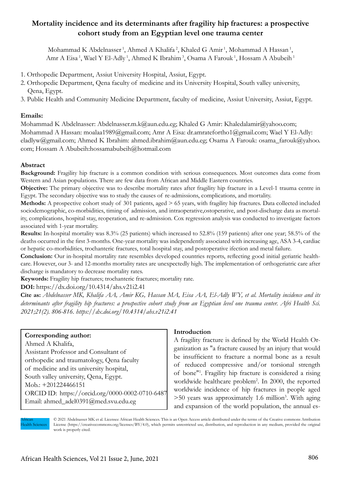# **Mortality incidence and its determinants after fragility hip fractures: a prospective cohort study from an Egyptian level one trauma center**

Mohammad K Abdelnasser<sup>1</sup>, Ahmed A Khalifa<sup>2</sup>, Khaled G Amir<sup>1</sup>, Mohammad A Hassan<sup>1</sup>, Amr A Eisa<sup>1</sup>, Wael Y El-Adly<sup>1</sup>, Ahmed K Ibrahim<sup>3</sup>, Osama A Farouk<sup>1</sup>, Hossam A Abubeih<sup>1</sup>

- 1. Orthopedic Department, Assiut University Hospital, Assiut, Egypt.
- 2. Orthopedic Department, Qena faculty of medicine and its University Hospital, South valley university, Qena, Egypt.
- 3. Public Health and Community Medicine Department, faculty of medicine, Assiut University, Assiut, Egypt.

# **Emails:**

Mohammad K Abdelnasser: Abdelnasser.m.k@aun.edu.eg; Khaled G Amir: Khaledalamir@yahoo.com; Mohammad A Hassan: moalaa1989@gmail.com; Amr A Eisa: dr.amratefortho1@gmail.com; Wael Y El-Adly: eladlyw@gmail.com; Ahmed K Ibrahim: ahmed.ibrahim@aun.edu.eg; Osama A Farouk: osama\_farouk@yahoo. com; Hossam A Abubeih:hossamabubeih@hotmail.com

# **Abstract**

**Background:** Fragility hip fracture is a common condition with serious consequences. Most outcomes data come from Western and Asian populations. There are few data from African and Middle Eastern countries.

**Objective:** The primary objective was to describe mortality rates after fragility hip fracture in a Level-1 trauma centre in Egypt. The secondary objective was to study the causes of re-admissions, complications, and mortality.

**Methods:** A prospective cohort study of 301 patients, aged > 65 years, with fragility hip fractures. Data collected included sociodemographic, co-morbidities, timing of admission, and intraoperative,ostoperative, and post-discharge data as mortality, complications, hospital stay, reoperation, and re-admission. Cox regression analysis was conducted to investigate factors associated with 1-year mortality.

**Results:** In-hospital mortality was 8.3% (25 patients) which increased to 52.8% (159 patients) after one year; 58.5% of the deaths occurred in the first 3-months. One-year mortality was independently associated with increasing age, ASA 3-4, cardiac or hepatic co-morbidities, trochanteric fractures, total hospital stay, and postoperative ifection and metal failure.

**Conclusion:** Our in-hospital mortality rate resembles developed countries reports, reflecting good initial geriatric healthcare. However, our 3- and 12-months mortality rates are unexpectedly high. The implementation of orthogeriatric care after discharge is mandatory to decrease mortality rates.

**Keywords:** Fragility hip fractures; trochanteric fractures; mortality rate.

**DOI:** https://dx.doi.org/10.4314/ahs.v21i2.41

**Cite as:** *Abdelnasser MK, Khalifa AA, Amir KG, Hassan MA, Eisa AA, El-Adly WY, et al. Mortality incidence and its determinants after fragility hip fractures: a prospective cohort study from an Egyptian level one trauma center. Afri Health Sci. 2021;21(2). 806-816. https://dx.doi.org/10.4314/ahs.v21i2.41*

# **Corresponding author:**

Ahmed A Khalifa, Assistant Professor and Consultant of orthopedic and traumatology, Qena faculty of medicine and its university hospital, South valley university, Qena, Egypt. Mob.: +201224466151 ORCID ID: https://orcid.org/0000-0002-0710-6487 Email: ahmed\_adel0391@med.svu.edu.eg

# **Introduction**

A fragility fracture is defined by the World Health Organization as "a fracture caused by an injury that would be insufficient to fracture a normal bone as a result of reduced compressive and/or torsional strength of bone"1 . Fragility hip fracture is considered a rising worldwide healthcare problem<sup>2</sup>. In 2000, the reported worldwide incidence of hip fractures in people aged >50 years was approximately 1.6 million3 . With aging and expansion of the world population, the annual es-

African **Health Sciences**  © 2021 Abdelnasser MK et al. Licensee African Health Sciences. This is an Open Access article distributed under the terms of the Creative commons Attribution License (https://creativecommons.org/licenses/BY/4.0), which permits unrestricted use, distribution, and reproduction in any medium, provided the original work is properly cited.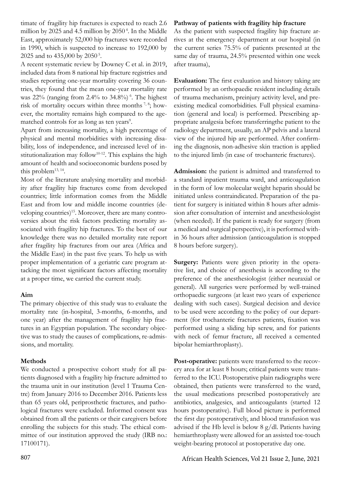timate of fragility hip fractures is expected to reach 2.6 million by 2025 and 4.5 million by 2050 4. In the Middle East, approximately 52,000 hip fractures were recorded in 1990, which is suspected to increase to 192,000 by 2025 and to 435,000 by 2050 5.

A recent systematic review by Downey C et al. in 2019, included data from 8 national hip fracture registries and studies reporting one-year mortality covering 36 countries, they found that the mean one-year mortality rate was  $22\%$  (ranging from 2.4% to 34.8%)<sup>6</sup>. The highest risk of mortality occurs within three months  $^{7, 8}$ ; however, the mortality remains high compared to the agematched controls for as long as ten years<sup>9</sup>.

Apart from increasing mortality, a high percentage of physical and mental morbidities with increasing disability, loss of independence, and increased level of institutionalization may follow<sup>10-12</sup>. This explains the high amount of health and socioeconomic burdens posed by this problem<sup>13, 14</sup>.

Most of the literature analysing mortality and morbidity after fragility hip fractures come from developed countries; little information comes from the Middle East and from low and middle income countries (developing countries)<sup>15</sup>. Moreover, there are many controversies about the risk factors predicting mortality associated with fragility hip fractures. To the best of our knowledge there was no detailed mortality rate report after fragility hip fractures from our area (Africa and the Middle East) in the past five years. To help us with proper implementation of a geriatric care program attacking the most significant factors affecting mortality at a proper time, we carried the current study.

# **Aim**

The primary objective of this study was to evaluate the mortality rate (in-hospital, 3-months, 6-months, and one year) after the management of fragility hip fractures in an Egyptian population. The secondary objective was to study the causes of complications, re-admissions, and mortality.

# **Methods**

We conducted a prospective cohort study for all patients diagnosed with a fragility hip fracture admitted to the trauma unit in our institution (level 1 Trauma Centre) from January 2016 to December 2016. Patients less than 65 years old, periprosthetic fractures, and pathological fractures were excluded. Informed consent was obtained from all the patients or their caregivers before enrolling the subjects for this study. The ethical committee of our institution approved the study (IRB no.: 17100171).

# **Pathway of patients with fragility hip fracture**

As the patient with suspected fragility hip fracture arrives at the emergency department at our hospital (in the current series 75.5% of patients presented at the same day of trauma, 24.5% presented within one week after trauma),

**Evaluation:** The first evaluation and history taking are performed by an orthopaedic resident including details of trauma mechanism, preinjury activity level, and preexisting medical comorbidities. Full physical examination (general and local) is performed. Prescribing appropriate analgesia before transferringthe patient to the radiology department, usually, an AP pelvis and a lateral view of the injured hip are performed. After confirming the diagnosis, non-adhesive skin traction is applied to the injured limb (in case of trochanteric fractures).

**Admission:** the patient is admitted and transferred to a standard inpatient trauma ward, and anticoagulation in the form of low molecular weight heparin should be initiated unless contraindicated. Preparation of the patient for surgery is initiated within 8 hours after admission after consultation of internist and anesthesiologist (when needed). If the patient is ready for surgery (from a medical and surgical perspective), it is performed within 36 hours after admission (anticoagulation is stopped 8 hours before surgery).

Surgery: Patients were given priority in the operative list, and choice of anesthesia is according to the preference of the anesthesiologist (either neuraxial or general). All surgeries were performed by well-trained orthopaedic surgeons (at least two years of experience dealing with such cases). Surgical decision and device to be used were according to the policy of our department (for trochanteric fractures patients, fixation was performed using a sliding hip screw, and for patients with neck of femur fracture, all received a cemented bipolar hemiarthroplasty).

**Post-operative:** patients were transferred to the recovery area for at least 8 hours; critical patients were transferred to the ICU. Postoperative plain radiographs were obtained, then patients were transferred to the ward, the usual medications prescribed postoperatively are antibiotics, analgesics, and anticoagulants (started 12 hours postoperative). Full blood picture is performed the first day postoperatively, and blood transfusion was advised if the Hb level is below 8 g/dl. Patients having hemiarthroplasty were allowed for an assisted toe-touch weight-bearing protocol at postoperative day one.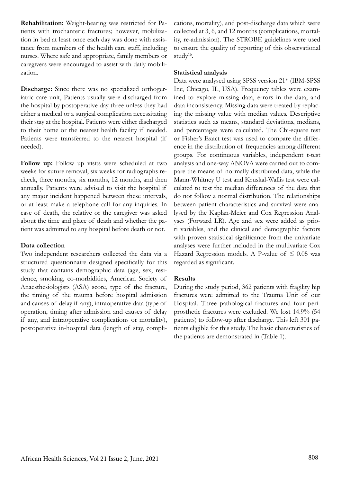**Rehabilitation:** Weight-bearing was restricted for Patients with trochanteric fractures; however, mobilization in bed at least once each day was done with assistance from members of the health care staff, including nurses. Where safe and appropriate, family members or caregivers were encouraged to assist with daily mobilization.

**Discharge:** Since there was no specialized orthogeriatric care unit, Patients usually were discharged from the hospital by postoperative day three unless they had either a medical or a surgical complication necessitating their stay at the hospital. Patients were either discharged to their home or the nearest health facility if needed. Patients were transferred to the nearest hospital (if needed).

**Follow up:** Follow up visits were scheduled at two weeks for suture removal, six weeks for radiographs recheck, three months, six months, 12 months, and then annually. Patients were advised to visit the hospital if any major incident happened between these intervals, or at least make a telephone call for any inquiries. In case of death, the relative or the caregiver was asked about the time and place of death and whether the patient was admitted to any hospital before death or not.

# **Data collection**

Two independent researchers collected the data via a structured questionnaire designed specifically for this study that contains demographic data (age, sex, residence, smoking, co-morbidities, American Society of Anaesthesiologists (ASA) score, type of the fracture, the timing of the trauma before hospital admission and causes of delay if any), intraoperative data (type of operation, timing after admission and causes of delay if any, and intraoperative complications or mortality), postoperative in-hospital data (length of stay, complications, mortality), and post-discharge data which were collected at 3, 6, and 12 months (complications, mortality, re-admission). The STROBE guidelines were used to ensure the quality of reporting of this observational study<sup>16</sup>.

#### **Statistical analysis**

Data were analysed using SPSS version 21\* (IBM-SPSS Inc, Chicago, IL, USA). Frequency tables were examined to explore missing data, errors in the data, and data inconsistency. Missing data were treated by replacing the missing value with median values. Descriptive statistics such as means, standard deviations, medians, and percentages were calculated. The Chi-square test or Fisher's Exact test was used to compare the difference in the distribution of frequencies among different groups. For continuous variables, independent t-test analysis and one-way ANOVA were carried out to compare the means of normally distributed data, while the Mann-Whitney U test and Kruskal-Wallis test were calculated to test the median differences of the data that do not follow a normal distribution. The relationships between patient characteristics and survival were analysed by the Kaplan-Meier and Cox Regression Analyses (Forward LR). Age and sex were added as priori variables, and the clinical and demographic factors with proven statistical significance from the univariate analyses were further included in the multivariate Cox Hazard Regression models. A P-value of  $\leq 0.05$  was regarded as significant.

#### **Results**

During the study period, 362 patients with fragility hip fractures were admitted to the Trauma Unit of our Hospital. Three pathological fractures and four periprosthetic fractures were excluded. We lost 14.9% (54 patients) to follow-up after discharge. This left 301 patients eligible for this study. The basic characteristics of the patients are demonstrated in (Table 1).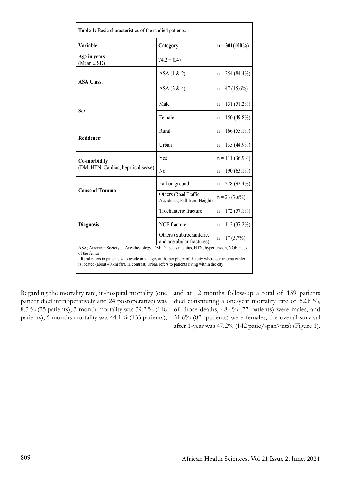| Table 1: Basic characteristics of the studied patients.                                                                                                                                                                                                                                                                          |                                                       |                    |  |  |  |
|----------------------------------------------------------------------------------------------------------------------------------------------------------------------------------------------------------------------------------------------------------------------------------------------------------------------------------|-------------------------------------------------------|--------------------|--|--|--|
| Variable                                                                                                                                                                                                                                                                                                                         | Category                                              | $n = 301(100\%)$   |  |  |  |
| Age in years<br>$(Mean \pm SD)$                                                                                                                                                                                                                                                                                                  | $74.2 \pm 0.47$                                       |                    |  |  |  |
|                                                                                                                                                                                                                                                                                                                                  | $ASA(1 \& 2)$                                         | $n = 254(84.4\%)$  |  |  |  |
| <b>ASA Class.</b>                                                                                                                                                                                                                                                                                                                | $ASA(3 \& 4)$                                         | $n = 47(15.6\%)$   |  |  |  |
| Sex                                                                                                                                                                                                                                                                                                                              | Male                                                  | $n = 151(51.2\%)$  |  |  |  |
|                                                                                                                                                                                                                                                                                                                                  | Female                                                | $n = 150 (49.8\%)$ |  |  |  |
| Residence <sup>1</sup>                                                                                                                                                                                                                                                                                                           | Rural                                                 | $n = 166(55.1\%)$  |  |  |  |
|                                                                                                                                                                                                                                                                                                                                  | Urban                                                 | $n = 135(44.9\%)$  |  |  |  |
| Co-morbidity                                                                                                                                                                                                                                                                                                                     | Yes                                                   | $n = 111(36.9\%)$  |  |  |  |
| (DM, HTN, Cardiac, hepatic disease)                                                                                                                                                                                                                                                                                              | No                                                    | $n = 190(63.1\%)$  |  |  |  |
| <b>Cause of Trauma</b>                                                                                                                                                                                                                                                                                                           | Fall on ground                                        | $n = 278(92.4\%)$  |  |  |  |
|                                                                                                                                                                                                                                                                                                                                  | Others (Road Traffic<br>Accidents, Fall from Height)  | $n = 23$ (7.6%)    |  |  |  |
| <b>Diagnosis</b>                                                                                                                                                                                                                                                                                                                 | Trochanteric fracture                                 | $n = 172(57.1\%)$  |  |  |  |
|                                                                                                                                                                                                                                                                                                                                  | NOF fracture                                          | $n = 112(37.2\%)$  |  |  |  |
|                                                                                                                                                                                                                                                                                                                                  | Others (Subtrochanteric,<br>and acetabular fractures) | $n = 17(5.7\%)$    |  |  |  |
| ASA; American Society of Anesthesiology, DM; Diabetes mellitus, HTN; hypertension, NOF; neck<br>of the femur<br><sup>1</sup> Rural refers to patients who reside in villages at the periphery of the city where our trauma center<br>is located (about 40 km far). In contrast, Urban refers to patients living within the city. |                                                       |                    |  |  |  |

Regarding the mortality rate, in-hospital mortality (one patient died intraoperatively and 24 postoperative) was 8.3 % (25 patients), 3-month mortality was 39.2 % (118 patients), 6-months mortality was 44.1 % (133 patients),

and at 12 months follow-up a total of 159 patients died constituting a one-year mortality rate of 52.8 %, of those deaths, 48.4% (77 patients) were males, and 51.6% (82 patients) were females, the overall survival after 1-year was 47.2% (142 patie/span>nts) (Figure 1).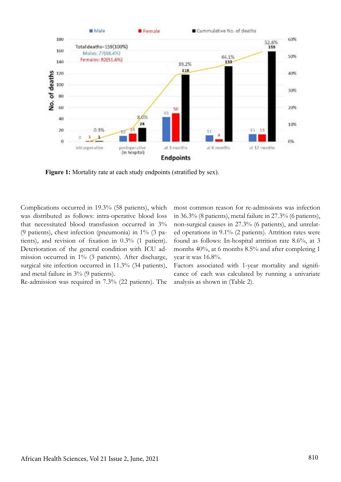

Figure 1: Mortality rate at each study endpoints (stratified by sex).

Complications occurred in 19.3% (58 patients), which was distributed as follows: intra-operative blood loss that necessitated blood transfusion occurred in 3% (9 patients), chest infection (pneumonia) in 1% (3 patients), and revision of fixation in 0.3% (1 patient). Deterioration of the general condition with ICU admission occurred in 1% (3 patients). After discharge, surgical site infection occurred in 11.3% (34 patients), and metal failure in 3% (9 patients).

Re-admission was required in 7.3% (22 patients). The

most common reason for re-admissions was infection in 36.3% (8 patients), metal failure in 27.3% (6 patients), non-surgical causes in 27.3% (6 patients), and unrelated operations in 9.1% (2 patients). Attrition rates were found as follows: In-hospital attrition rate 8.6%, at 3 months 40%, at 6 months 8.5% and after completing 1 year it was 16.8%.

Factors associated with 1-year mortality and significance of each was calculated by running a univariate analysis as shown in (Table 2).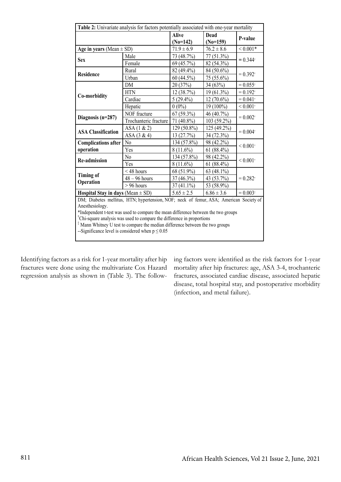| Table 2: Univariate analysis for factors potentially associated with one-year mortality  |                       |                            |                    |                          |  |  |
|------------------------------------------------------------------------------------------|-----------------------|----------------------------|--------------------|--------------------------|--|--|
|                                                                                          |                       | <b>Alive</b><br>$(No=142)$ | Dead<br>$(No=159)$ | P-value                  |  |  |
| Age in years (Mean $\pm$ SD)                                                             |                       | $71.9 \pm 6.9$             | $76.2 \pm 8.6$     | ${}< 0.001*$             |  |  |
| <b>Sex</b>                                                                               | Male                  | 73 (48.7%)                 | 77 (51.3%)         | $= 0.344$ <sup>†</sup>   |  |  |
|                                                                                          | Female                | 69 (45.7%)                 | 82 (54.3%)         |                          |  |  |
| <b>Residence</b>                                                                         | Rural                 | 82 (49.4%)                 | 84 (50.6%)         | $= 0.392$ <sup>†</sup>   |  |  |
|                                                                                          | Urban                 | 60(44.5%)                  | 75 (55.6%)         |                          |  |  |
|                                                                                          | <b>DM</b>             | 20(37%)                    | 34 (63%)           | $= 0.055$ <sup>†</sup>   |  |  |
|                                                                                          | <b>HTN</b>            | 12 (38.7%)                 | 19 (61.3%)         | $= 0.192$ <sup>†</sup>   |  |  |
| Co-morbidity                                                                             | Cardiac               | $5(29.4\%)$                | $12(70.6\%)$       | $= 0.041$ <sup>†</sup>   |  |  |
|                                                                                          | Hepatic               | $0(0\%)$                   | 19 (100%)          | ${}< 0.001$ <sup>†</sup> |  |  |
| Diagnosis $(n=287)$                                                                      | NOF fracture          | $67(59.3\%)$               | 46 (40.7%)         | $= 0.002$ <sup>†</sup>   |  |  |
|                                                                                          | Trochanteric fracture | 71 (40.8%)                 | 103 (59.2%)        |                          |  |  |
|                                                                                          | ASA(1 & 2)            | 129 (50.8%)                | 125 (49.2%)        | $= 0.004$ <sup>†</sup>   |  |  |
| <b>ASA Classification</b>                                                                | $ASA(3 \& 4)$         | 13 (27.7%)                 | 34 (72.3%)         |                          |  |  |
| <b>Complications after</b>                                                               | No.                   | 134 (57.8%)                | 98 (42.2%)         |                          |  |  |
| operation                                                                                | Yes                   | $8(11.6\%)$                | $61(88.4\%)$       | ${}< 0.001$ <sup>†</sup> |  |  |
| <b>Re-admission</b>                                                                      | No.                   | 134 (57.8%)                | 98 (42.2%)         | ${}< 0.001$ <sup>†</sup> |  |  |
|                                                                                          | Yes                   | $8(11.6\%)$                | $61(88.4\%)$       |                          |  |  |
| <b>Timing of</b><br>Operation                                                            | $<$ 48 hours          | 68 (51.9%)                 | 63 $(48.1\%)$      | $= 0.282$ <sup>†</sup>   |  |  |
|                                                                                          | $48 - 96$ hours       | 37 (46.3%)                 | 43 (53.7%)         |                          |  |  |
|                                                                                          | $> 96$ hours          | $37(41.1\%)$               | 53 (58.9%)         |                          |  |  |
| Hospital Stay in days (Mean $\pm$ SD)                                                    |                       | $5.65 \pm 2.5$             | $6.86 \pm 3.6$     | $= 0.003$                |  |  |
| DM; Diabetes mellitus, HTN; hypertension, NOF; neck of femur, ASA; American Society of   |                       |                            |                    |                          |  |  |
| Anesthesiology.                                                                          |                       |                            |                    |                          |  |  |
| *Independent t-test was used to compare the mean difference between the two groups       |                       |                            |                    |                          |  |  |
| <sup>†</sup> Chi-square analysis was used to compare the difference in proportions       |                       |                            |                    |                          |  |  |
| <sup>‡</sup> Mann Whitney U test to compare the median difference between the two groups |                       |                            |                    |                          |  |  |
| --Significance level is considered when $p \le 0.05$                                     |                       |                            |                    |                          |  |  |

Identifying factors as a risk for 1-year mortality after hip fractures were done using the multivariate Cox Hazard regression analysis as shown in (Table 3). The follow-

ing factors were identified as the risk factors for 1-year mortality after hip fractures: age, ASA 3-4, trochanteric fractures, associated cardiac disease, associated hepatic disease, total hospital stay, and postoperative morbidity (infection, and metal failure).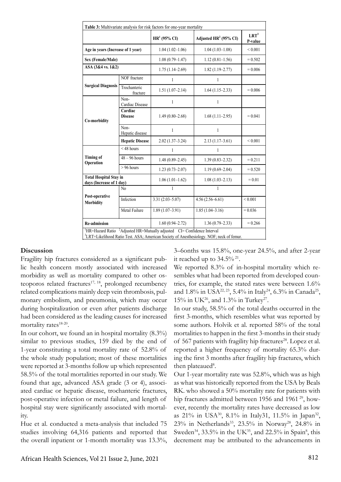| Table 3: Multivariate analysis for risk factors for one-year mortality                                                                                                                          |                           |                     |                          |                             |  |  |  |
|-------------------------------------------------------------------------------------------------------------------------------------------------------------------------------------------------|---------------------------|---------------------|--------------------------|-----------------------------|--|--|--|
|                                                                                                                                                                                                 |                           | $HR1$ (95% CI)      | Adjusted $HR^2$ (95% CI) | LRT <sup>3</sup><br>P-value |  |  |  |
| Age in years (Increase of 1 year)                                                                                                                                                               |                           | $1.04(1.02 - 1.06)$ | $1.04(1.03-1.08)$        | ${}< 0.001$                 |  |  |  |
| Sex (Female/Male)                                                                                                                                                                               |                           | $1.08(0.79 - 1.47)$ | $1.12(0.81 - 1.56)$      | $= 0.502$                   |  |  |  |
| ASA (3&4 vs. 1&2)                                                                                                                                                                               |                           | $1.75(1.14-2.69)$   | $1.82(1.19 - 2.77)$      | $= 0.006$                   |  |  |  |
| <b>Surgical Diagnosis</b>                                                                                                                                                                       | NOF fracture              | $\mathbf{1}$        | $\mathbf{1}$             |                             |  |  |  |
|                                                                                                                                                                                                 | Trochanteric<br>fracture  | $1.51(1.07-2.14)$   | $1.64(1.15-2.33)$        | $= 0.006$                   |  |  |  |
| Co-morbidity                                                                                                                                                                                    | Non-<br>Cardiac Disease   | 1                   | $\mathbf{1}$             |                             |  |  |  |
|                                                                                                                                                                                                 | Cardiac<br><b>Disease</b> | $1.49(0.80 - 2.68)$ | $1.68(1.11-2.95)$        | $= 0.041$                   |  |  |  |
|                                                                                                                                                                                                 | Non-<br>Hepatic disease   | $\mathbf{1}$        | $\mathbf{1}$             |                             |  |  |  |
|                                                                                                                                                                                                 | <b>Hepatic Disease</b>    | $2.02(1.37-3.24)$   | $2.13(1.17-3.61)$        | ${}< 0.001$                 |  |  |  |
| <b>Timing of</b><br>Operation                                                                                                                                                                   | $<$ 48 hours              | $\mathbf{1}$        | $\mathbf{1}$             |                             |  |  |  |
|                                                                                                                                                                                                 | $48 - 96$ hours           | $1.48(0.89 - 2.45)$ | $1.39(0.83 - 2.32)$      | $= 0.211$                   |  |  |  |
|                                                                                                                                                                                                 | $> 96$ hours              | $1.23(0.73 - 2.07)$ | $1.19(0.69 - 2.04)$      | $= 0.520$                   |  |  |  |
| <b>Total Hospital Stay in</b><br>days (Increase of 1 day)                                                                                                                                       |                           | $1.06(1.01-1.62)$   | $1.08(1.03 - 2.13)$      | $= 0.01$                    |  |  |  |
| Post-operative<br><b>Morbidity</b>                                                                                                                                                              | N <sub>0</sub>            | $\mathbf{1}$        | $\mathbf{1}$             |                             |  |  |  |
|                                                                                                                                                                                                 | Infection                 | $3.31(2.03 - 5.07)$ | $4.56(2.56 - 6.61)$      | ${}< 0.001$                 |  |  |  |
|                                                                                                                                                                                                 | Metal Failure             | $1.89(1.07-3.91)$   | $1.85(1.04-3.16)$        | $= 0.036$                   |  |  |  |
| <b>Re-admission</b>                                                                                                                                                                             |                           | $1.60(0.94 - 2.72)$ | $1.36(0.79 - 2.33)$      | $= 0.266$                   |  |  |  |
| ${}^{1}$ HR=Hazard Ratio ${}^{2}$ Adjusted HR=Mutually adjusted CI= Confidence Interval<br><sup>3</sup> LRT=Likelihood Ratio Test. ASA; American Society of Anesthesiology. NOF; neck of femur. |                           |                     |                          |                             |  |  |  |

# **Discussion**

Fragility hip fractures considered as a significant public health concern mostly associated with increased morbidity as well as mortality compared to other osteoporos related fractures<sup>17, 18</sup>, prolonged recumbency related complications mainly deep vein thrombosis, pulmonary embolism, and pneumonia, which may occur during hospitalization or even after patients discharge had been considered as the leading causes for increased mortality rates<sup>18-20</sup>.

In our cohort, we found an in hospital mortality (8.3%) similar to previous studies, 159 died by the end of 1-year constituting a total mortality rate of 52.8% of the whole study population; most of these mortalities were reported at 3-months follow up which represented 58.5% of the total mortalities reported in our study. We found that age, advanced ASA grade (3 or 4), associated cardiac or hepatic disease, trochanteric fractures, post-operative infection or metal failure, and length of hospital stay were significantly associated with mortality.

Hue et al. conducted a meta-analysis that included 75 studies involving 64,316 patients and reported that the overall inpatient or 1-month mortality was 13.3%, 3–6onths was 15.8%, one-year 24.5%, and after 2-year it reached up to  $34.5\%$ <sup>21</sup>.

We reported 8.3% of in-hospital mortality which resembles what had been reported from developed countries, for example, the stated rates were between 1.6% and 1.8% in USA<sup>22, 23</sup>, 5.4% in Italy<sup>24</sup>, 6.3% in Canada<sup>25</sup>, 15% in UK<sup>26</sup>, and 1.3% in Turkey<sup>27</sup>.

In our study, 58.5% of the total deaths occurred in the first 3-months, which resembles what was reported by some authors. Holvik et al. reported 58% of the total mortalities to happen in the first 3-months in their study of 567 patients with fragility hip fractures<sup>28</sup>. Lopez et al. reported a higher frequency of mortality 65.3% during the first 3 months after fragility hip fractures, which then plateaued<sup>8</sup>.

Our 1-year mortality rate was 52.8%, which was as high as what was historically reported from the USA by Beals RK. who showed a 50% mortality rate for patients with hip fractures admitted between 1956 and 1961<sup>29</sup>, however, recently the mortality rates have decreased as low as 21% in USA<sup>30</sup>, 8.1% in Italy31, 11.5% in Japan<sup>32</sup>, 23% in Netherlands<sup>33</sup>, 23.5% in Norway<sup>28</sup>, 24.8% in Sweden<sup>34</sup>, 33.5% in the UK<sup>35</sup>, and 22.5% in Spain<sup>8</sup>, this decrement may be attributed to the advancements in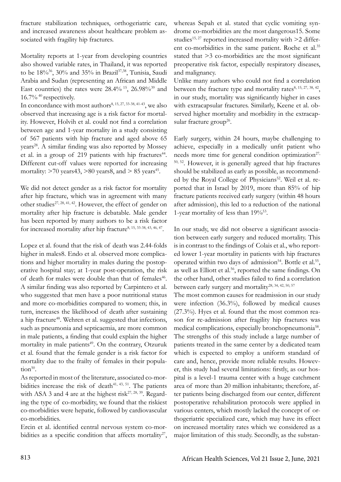fracture stabilization techniques, orthogeriatric care, and increased awareness about healthcare problem associated with fragility hip fractures.

Mortality reports at 1-year from developing countries also showed variable rates, in Thailand, it was reported to be 18%36, 30% and 35% in Brazil37,38, Tunisia, Saudi Arabia and Sudan (representing an African and Middle East countries) the rates were  $28.4\%$  <sup>15</sup>, 26.98%<sup>39</sup> and  $16.7\%$ <sup>40</sup> respectively.

In concordance with most authors<sup>8, 15, 27, 33-38, 41-43</sup>, we also observed that increasing age is a risk factor for mortality. However, Holvih et al. could not find a correlation between age and 1-year mortality in a study consisting of 567 patients with hip fracture and aged above 65 years<sup>28</sup>. A similar finding was also reported by Mossey et al. in a group of 219 patients with hip fractures<sup>44</sup>. Different cut-off values were reported for increasing mortality:  $>70$  years 43,  $>80$  years 8, and  $>85$  years 45.

We did not detect gender as a risk factor for mortality after hip fracture, which was in agreement with many other studies<sup>27, 28, 41, 42</sup>. However, the effect of gender on mortality after hip fracture is debatable. Male gender has been reported by many authors to be a risk factor for increased mortality after hip fracture<sup>8, 15, 33-38, 43, 46, 47</sup>.

Lopez et al. found that the risk of death was 2.44-folds higher in males8. Endo et al. observed more complications and higher mortality in males during the postoperative hospital stay; at 1-year post-operation, the risk of death for males were double than that of females<sup>46</sup>. A similar finding was also reported by Carpintero et al. who suggested that men have a poor nutritional status and more co-morbidities compared to women; this, in turn, increases the likelihood of death after sustaining a hip fracture<sup>48</sup>. Wehren et al. suggested that infections, such as pneumonia and septicaemia, are more common in male patients, a finding that could explain the higher mortality in male patients<sup>49</sup>. On the contrary, Otzuruk et al. found that the female gender is a risk factor for mortality due to the frailty of females in their population $50$ .

As reported in most of the literature, associated co-morbidities increase the risk of death $41, 43, 51$ . The patients with ASA 3 and 4 are at the highest risk<sup>27, 28, 39</sup>. Regarding the type of co-morbidity, we found that the riskiest co-morbidities were hepatic, followed by cardiovascular co-morbidities.

Ercin et al. identified central nervous system co-morbidities as a specific condition that affects mortality<sup>27</sup>, whereas Sepah et al. stated that cyclic vomiting syndrome co-morbidities are the most dangerous15. Some studies<sup>15, 27</sup> reported increased mortality with  $\geq 2$  different co-morbidities in the same patient. Roche et al.<sup>35</sup> stated that >3 co-morbidities are the most significant preoperative risk factor, especially respiratory diseases, and malignancy.

Unlike many authors who could not find a correlation between the fracture type and mortality rates $8, 15, 27, 38, 42$ , in our study, mortality was significantly higher in cases with extracapsular fractures. Similarly, Keene et al. observed higher mortality and morbidity in the extracapsular fracture group<sup>26</sup>.

Early surgery, within 24 hours, maybe challenging to achieve, especially in a medically unfit patient who needs more time for general condition optimization<sup>27,</sup> 50, 52. However, it is generally agreed that hip fractures should be stabilized as early as possible, as recommended by the Royal College of Physicians<sup>52</sup>. Weil et al. reported that in Israel by 2019, more than 85% of hip fracture patients received early surgery (within 48 hours after admission), this led to a reduction of the national 1-year mortality of less than  $19\%^{53}$ .

In our study, we did not observe a significant association between early surgery and reduced mortality. This is in contrast to the findings of Colais et al., who reported lower 1-year mortality in patients with hip fractures operated within two days of admission<sup>54</sup>. Bottle et al.<sup>55</sup>, as well as Elliott et al.<sup>56</sup>, reported the same findings. On the other hand, other studies failed to find a correlation between early surgery and mortality<sup>28, 34, 42, 50, 57</sup>

The most common causes for readmission in our study were infection (36.3%), followed by medical causes (27.3%). Hyes et al. found that the most common reason for re-admission after fragility hip fractures was medical complications, especially bronchopneumonia<sup>58</sup>. The strengths of this study include a large number of patients treated in the same center by a dedicated team which is expected to employ a uniform standard of care and, hence, provide more reliable results. However, this study had several limitations: firstly, as our hospital is a level-1 trauma center with a huge catchment area of more than 20 million inhabitants; therefore, after patients being discharged from our center, different postoperative rehabilitation protocols were applied in various centers, which mostly lacked the concept of orthogeriatric specialized care, which may have its effect on increased mortality rates which we considered as a major limitation of this study. Secondly, as the substan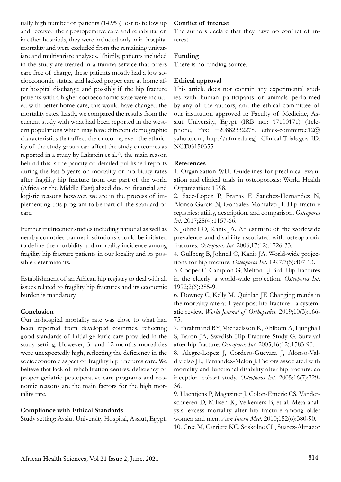tially high number of patients (14.9%) lost to follow up and received their postoperative care and rehabilitation in other hospitals, they were included only in in-hospital mortality and were excluded from the remaining univariate and multivariate analyses. Thirdly, patients included in the study are treated in a trauma service that offers care free of charge, these patients mostly had a low socioeconomic status, and lacked proper care at home after hospital discharge; and possibly if the hip fracture patients with a higher socioeconomic state were included with better home care, this would have changed the mortality rates. Lastly, we compared the results from the current study with what had been reported in the western populations which may have different demographic characteristics that affect the outcome, even the ethnicity of the study group can affect the study outcomes as reported in a study by Lakstein et al.<sup>59</sup>, the main reason behind this is the paucity of detailed published reports during the last 5 years on mortality or morbidity rates after fragility hip fracture from our part of the world (Africa or the Middle East).alized due to financial and logistic reasons however, we are in the process of implementing this program to be part of the standard of care.

Further multicenter studies including national as well as nearby countries trauma institutions should be initiated to define the morbidity and mortality incidence among fragility hip fracture patients in our locality and its possible determinants.

Establishment of an African hip registry to deal with all issues related to fragility hip fractures and its economic burden is mandatory.

# **Conclusion**

Our in-hospital mortality rate was close to what had been reported from developed countries, reflecting good standards of initial geriatric care provided in the study setting. However, 3- and 12-months mortalities were unexpectedly high, reflecting the deficiency in the socioeconomic aspect of fragility hip fractures care. We believe that lack of rehabilitation centres, deficiency of proper geriatric postoperative care programs and economic reasons are the main factors for the high mortality rate.

# **Compliance with Ethical Standards**

Study setting: Assiut University Hospital, Assiut, Egypt.

# **Conflict of interest**

The authors declare that they have no conflict of interest.

# **Funding**

There is no funding source.

# **Ethical approval**

This article does not contain any experimental studies with human participants or animals performed by any of the authors, and the ethical committee of our institution approved it: Faculty of Medicine, Assiut University, Egypt (IRB no.: 17100171) (Telephone, Fax: +20882332278, ethics-committee12@ yahoo.com, http://afm.edu.eg) Clinical Trials.gov ID: NCT03150355

# **References**

1. Organization WH. Guidelines for preclinical evaluation and clinical trials in osteoporosis: World Health Organization; 1998.

2. Saez-Lopez P, Branas F, Sanchez-Hernandez N, Alonso-Garcia N, Gonzalez-Montalvo JI. Hip fracture registries: utility, description, and comparison. *Osteoporos Int*. 2017;28(4):1157-66.

3. Johnell O, Kanis JA. An estimate of the worldwide prevalence and disability associated with osteoporotic fractures. *Osteoporos Int*. 2006;17(12):1726-33.

4. Gullberg B, Johnell O, Kanis JA. World-wide projections for hip fracture. *Osteoporos Int*. 1997;7(5):407-13.

5. Cooper C, Campion G, Melton LJ, 3rd. Hip fractures in the elderly: a world-wide projection. *Osteoporos Int*. 1992;2(6):285-9.

6. Downey C, Kelly M, Quinlan JF. Changing trends in the mortality rate at 1-year post hip fracture - a systematic review. *World Journal of Orthopedics*. 2019;10(3):166- 75.

7. Farahmand BY, Michaelsson K, Ahlbom A, Ljunghall S, Baron JA, Swedish Hip Fracture Study G. Survival after hip fracture. *Osteoporos Int*. 2005;16(12):1583-90.

8. Alegre-Lopez J, Cordero-Guevara J, Alonso-Valdivielso JL, Fernandez-Melon J. Factors associated with mortality and functional disability after hip fracture: an inception cohort study. *Osteoporos Int*. 2005;16(7):729- 36.

9. Haentjens P, Magaziner J, Colon-Emeric CS, Vanderschueren D, Milisen K, Velkeniers B, et al. Meta-analysis: excess mortality after hip fracture among older women and men. *Ann Intern Med*. 2010;152(6):380-90.

10. Cree M, Carriere KC, Soskolne CL, Suarez-Almazor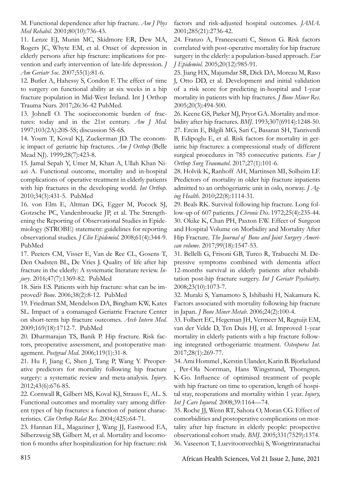M. Functional dependence after hip fracture. *Am J Phys Med Rehabil*. 2001;80(10):736-43.

11. Lenze EJ, Munin MC, Skidmore ER, Dew MA, Rogers JC, Whyte EM, et al. Onset of depression in elderly persons after hip fracture: implications for prevention and early intervention of late-life depression. *J Am Geriatr Soc*. 2007;55(1):81-6.

12. Butler A, Hahessy S, Condon F. The effect of time to surgery on functional ability at six weeks in a hip fracture population in Mid-West Ireland. Int J Orthop Trauma Nurs. 2017;26:36-42 PubMed.

13. Johnell O. The socioeconomic burden of fractures: today and in the 21st century. *Am J Med*. 1997;103(2A):20S-5S; discussion 5S-6S.

14. Youm T, Koval KJ, Zuckerman JD. The economic impact of geriatric hip fractures. *Am J Orthop* (Belle Mead NJ). 1999;28(7):423-8.

15. Jamal Sepah Y, Umer M, Khan A, Ullah Khan Niazi A. Functional outcome, mortality and in-hospital complications of operative treatment in elderly patients with hip fractures in the developing world. *Int Orthop*. 2010;34(3):431-5. PubMed

16. von Elm E, Altman DG, Egger M, Pocock SJ, Gotzsche PC, Vandenbroucke JP, et al. The Strengthening the Reporting of Observational Studies in Epidemiology (STROBE) statement: guidelines for reporting observational studies. *J Clin Epidemiol*. 2008;61(4):344-9. PubMed

17. Peeters CM, Visser E, Van de Ree CL, Gosens T, Den Oudsten BL, De Vries J. Quality of life after hip fracture in the elderly: A systematic literature review. *Injury*. 2016;47(7):1369-82. PubMed

18. Siris ES. Patients with hip fracture: what can be improved? *Bone*. 2006;38(2):8-12. PubMed

19. Friedman SM, Mendelson DA, Bingham KW, Kates SL. Impact of a comanaged Geriatric Fracture Center on short-term hip fracture outcomes. *Arch Intern Med*. 2009;169(18):1712-7. PubMed

20. Dharmarajan TS, Banik P. Hip fracture. Risk factors, preoperative assessment, and postoperative management. *Postgrad Med*. 2006;119(1):31-8.

21. Hu F, Jiang C, Shen J, Tang P, Wang Y. Preoperative predictors for mortality following hip fracture surgery: a systematic review and meta-analysis. *Injury*. 2012;43(6):676-85.

22. Cornwall R, Gilbert MS, Koval KJ, Strauss E, AL. S. Functional outcomes and mortality vary among different types of hip fractures: a function of patient characteristics. *Clin Orthop Relat Res*. 2004;(425):64-71.

23. Hannan EL, Magaziner J, Wang JJ, Eastwood EA, Silberzweig SB, Gilbert M, et al. Mortality and locomotion 6 months after hospitalization for hip fracture: risk factors and risk-adjusted hospital outcomes. *JAMA*. 2001;285(21):2736-42.

24. Franzo A, Francescutti C, Simon G. Risk factors correlated with post-operative mortality for hip fracture surgery in the elderly: a population-based approach. *Eur J Epidemiol*. 2005;20(12):985-91.

25. Jiang HX, Majumdar SR, Dick DA, Moreau M, Raso J, Otto DD, et al. Development and initial validation of a risk score for predicting in-hospital and 1-year mortality in patients with hip fractures. *J Bone Miner Res*. 2005;20(3):494-500.

26. Keene GS, Parker MJ, Pryor GA. Mortality and morbidity after hip fractures. *BMJ*. 1993;307(6914):1248-50. 27. Ercin E, Bilgili MG, Sari C, Basaran SH, Tanriverdi B, Edipoglu E, et al. Risk factors for mortality in geriatric hip fractures: a compressional study of different surgical procedures in 785 consecutive patients. *Eur J Orthop Surg Traumatol*. 2017;27(1):101-6.

28. Holvik K, Ranhoff AH, Martinsen MI, Solheim LF. Predictors of mortality in older hip fracture inpatients admitted to an orthogeriatric unit in oslo, norway. *J Aging Health*. 2010;22(8):1114-31.

29. Beals RK. Survival following hip fracture. Long follow-up of 607 patients. *J Chronic Dis*. 1972;25(4):235-44. 30. Okike K, Chan PH, Paxton EW. Effect of Surgeon and Hospital Volume on Morbidity and Mortality After Hip Fracture. *The Journal of Bone and Joint Surgery American volume*. 2017;99(18):1547-53.

31. Bellelli G, Frisoni GB, Turco R, Trabucchi M. Depressive symptoms combined with dementia affect 12-months survival in elderly patients after rehabilitation post-hip fracture surgery. *Int J Geriatr Psychiatry*. 2008;23(10):1073-7.

32. Muraki S, Yamamoto S, Ishibashi H, Nakamura K. Factors associated with mortality following hip fracture in Japan. *J Bone Miner Metab*. 2006;24(2):100-4.

33. Folbert EC, Hegeman JH, Vermeer M, Regtuijt EM, van der Velde D, Ten Duis HJ, et al. Improved 1-year mortality in elderly patients with a hip fracture following integrated orthogeriatric treatment. *Osteoporos Int*. 2017;28(1):269-77.

34. Ami Hommel , Kerstin Ulander, Karin B. Bjorkelund , Per-Ola Norrman, Hans Wingstrand, Thorngren. K-Go. Influence of optimised treatment of people with hip fracture on time to operation, length of hospital stay, reoperations and mortality within 1 year. *Injury, Int J Care Injured*. 2008;39:1164—74.

35. Roche JJ, Wenn RT, Sahota O, Moran CG. Effect of comorbidities and postoperative complications on mortality after hip fracture in elderly people: prospective observational cohort study. *BMJ*. 2005;331(7529):1374. 36. Vaseenon T, Luevitoonvechkij S, Wongtriratanachai